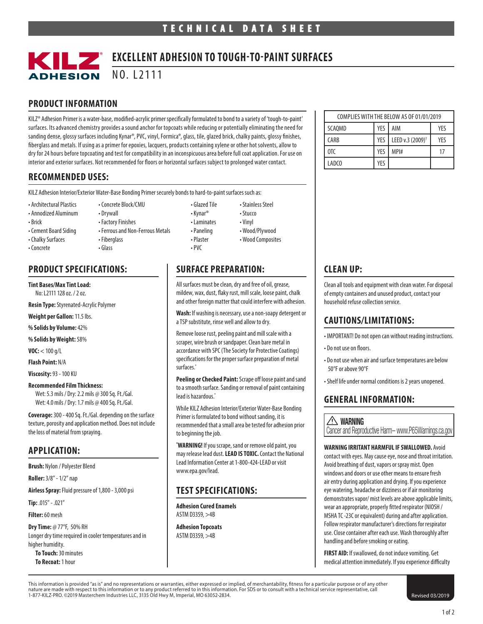### **EXCELLENT ADHESION TO TOUGH-TO-PAINT SURFACES LZ**

#### NO. L2111

## **PRODUCT INFORMATION**

KILZ® Adhesion Primer is a water-base, modified-acrylic primer specifically formulated to bond to a variety of 'tough-to-paint' surfaces. Its advanced chemistry provides a sound anchor for topcoats while reducing or potentially eliminating the need for sanding dense, glossy surfaces including Kynar®, PVC, vinyl, Formica®, glass, tile, glazed brick, chalky paints, glossy finishes, fiberglass and metals. If using as a primer for epoxies, lacquers, products containing xylene or other hot solvents, allow to dry for 24 hours before topcoating and test for compatibility in an inconspicuous area before full coat application. For use on interior and exterior surfaces. Not recommended for floors or horizontal surfaces subject to prolonged water contact.

### **RECOMMENDED USES:**

KILZ Adhesion Interior/Exterior Water-Base Bonding Primer securely bonds to hard-to-paint surfaces such as:

- Architectural Plastics Concrete Block/CMU Glazed Tile Stainless Steel
- Annodized Aluminum Drywall **Example 19** Stucco
- 
- Cement Board Siding Ferrous and Non-Ferrous Metals Paneling Wood/Plywood
- 
- 
- Chalky Surfaces Fiberglass Fiberglass Plaster Wood Composites
	-
- Concrete Glass Glass PVC

### **PRODUCT SPECIFICATIONS:**

**Tint Bases/Max Tint Load:** No: L2111 128 oz. / 2 oz.

**Resin Type:** Styrenated-Acrylic Polymer

**Weight per Gallon:** 11.5 lbs.

**% Solids by Volume:** 42%

**% Solids by Weight:** 58%

**VOC:** < 100 g/L

**Flash Point:** N/A

**Viscosity:** 93 - 100 KU

#### **Recommended Film Thickness:**

Wet: 5.3 mils / Dry: 2.2 mils @ 300 Sq. Ft./Gal. Wet: 4.0 mils / Dry: 1.7 mils @ 400 Sq. Ft./Gal.

**Coverage:** 300 - 400 Sq. Ft./Gal. depending on the surface texture, porosity and application method. Does not include the loss of material from spraying.

#### **APPLICATION:**

**Brush:** Nylon / Polyester Blend

**Roller:** 3/8" - 1/2" nap

**Airless Spray:** Fluid pressure of 1,800 - 3,000 psi

**Tip:** .015" - .021"

**Filter:** 60 mesh

**Dry Time:** @ 77°F, 50% RH Longer dry time required in cooler temperatures and in higher humidity. **To Touch:** 30 minutes **To Recoat:** 1 hour

#### **SURFACE PREPARATION:**

All surfaces must be clean, dry and free of oil, grease, mildew, wax, dust, flaky rust, mill scale, loose paint, chalk and other foreign matter that could interfere with adhesion.

**Wash:** If washing is necessary, use a non-soapy detergent or a TSP substitute, rinse well and allow to dry.

Remove loose rust, peeling paint and mill scale with a scraper, wire brush or sandpaper. Clean bare metal in accordance with SPC (The Society for Protective Coatings) specifications for the proper surface preparation of metal surfaces.'

**Peeling or Checked Paint:** Scrape off loose paint and sand to a smooth surface. Sanding or removal of paint containing lead is hazardous."

While KILZ Adhesion Interior/Exterior Water-Base Bonding Primer is formulated to bond without sanding, it is recommended that a small area be tested for adhesion prior to beginning the job.

**\* WARNING!** If you scrape, sand or remove old paint, you may release lead dust. **LEAD IS TOXIC.** Contact the National Lead Information Center at 1-800-424-LEAD or visit www.epa.gov/lead.

### **TEST SPECIFICATIONS:**

**Adhesion Cured Enamels** ASTM D3359, >4B

**Adhesion Topcoats** ASTM D3359, >4B

COMPLIES WITH THE BELOW AS OF 01/01/2019 SCAOMD YES AIM YES CARB YES LEED v.3 (2009)† YES OTC YES MPI# 17 LADCO **LYFS** 

## **CLEAN UP:**

Clean all tools and equipment with clean water. For disposal of empty containers and unused product, contact your household refuse collection service.

### **CAUTIONS/LIMITATIONS:**

• IMPORTANT! Do not open can without reading instructions.

- Do not use on floors.
- Do not use when air and surface temperatures are below 50°F or above 90°F
- Shelf life under normal conditions is 2 years unopened.

### **GENERAL INFORMATION:**

 $\triangle$  warning Cancer and Reproductive Harm– www.P65Warnings.ca.gov

#### **WARNING IRRITANT HARMFUL IF SWALLOWED.** Avoid

contact with eyes. May cause eye, nose and throat irritation. Avoid breathing of dust, vapors or spray mist. Open windows and doors or use other means to ensure fresh air entry during application and drying. If you experience eye watering, headache or dizziness or if air monitoring demonstrates vapor/ mist levels are above applicable limits, wear an appropriate, properly fitted respirator (NIOSH / MSHA TC -23C or equivalent) during and after application. Follow respirator manufacturer's directions for respirator use. Close container after each use. Wash thoroughly after handling and before smoking or eating.

**FIRST AID:** If swallowed, do not induce vomiting. Get medical attention immediately. If you experience difficulty

This information is provided "as is" and no representations or warranties, either expressed or implied, of merchantability, fitness for a particular purpose or of any other nature are made with respect to this information or to any product referred to in this information. For SDS or to consult with a technical service representative, call **Revised 03/2019**<br>1-877-KILZ-PRO. ©2019 Masterchem Ind

- Brick Factory Finishes Laminates Vinyl
	-